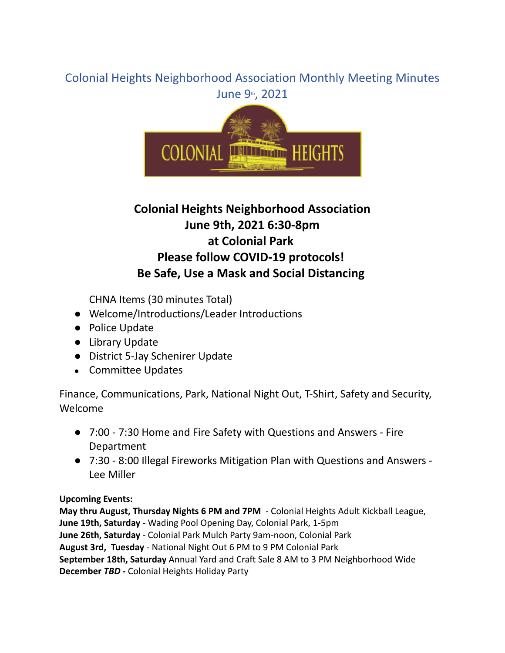# Colonial Heights Neighborhood Association Monthly Meeting Minutes June 9th, 2021



# **Colonial Heights Neighborhood Association June 9th, 2021 6:30-8pm at Colonial Park Please follow COVID-19 protocols! Be Safe, Use a Mask and Social Distancing**

CHNA Items (30 minutes Total)

- Welcome/Introductions/Leader Introductions
- Police Update
- Library Update
- District 5-Jay Schenirer Update
- Committee Updates

Finance, Communications, Park, National Night Out, T-Shirt, Safety and Security, Welcome

- 7:00 7:30 Home and Fire Safety with Questions and Answers Fire Department
- 7:30 8:00 Illegal Fireworks Mitigation Plan with Questions and Answers Lee Miller

# **Upcoming Events:**

**May thru August, Thursday Nights 6 PM and 7PM** - Colonial Heights Adult Kickball League, **June 19th, Saturday** - Wading Pool Opening Day, Colonial Park, 1-5pm **June 26th, Saturday** - Colonial Park Mulch Party 9am-noon, Colonial Park **August 3rd, Tuesday** - National Night Out 6 PM to 9 PM Colonial Park **September 18th, Saturday** Annual Yard and Craft Sale 8 AM to 3 PM Neighborhood Wide **December** *TBD -* Colonial Heights Holiday Party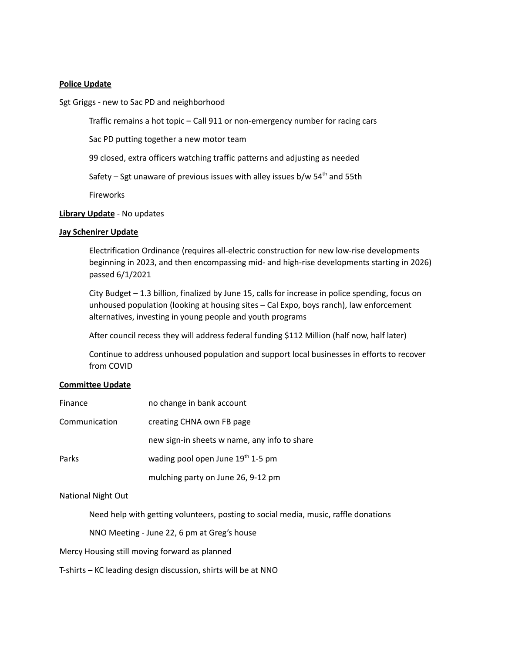## **Police Update**

#### Sgt Griggs - new to Sac PD and neighborhood

Traffic remains a hot topic – Call 911 or non-emergency number for racing cars

Sac PD putting together a new motor team

99 closed, extra officers watching traffic patterns and adjusting as needed

Safety – Sgt unaware of previous issues with alley issues b/w 54<sup>th</sup> and 55th

Fireworks

## **Library Update** - No updates

## **Jay Schenirer Update**

Electrification Ordinance (requires all-electric construction for new low-rise developments beginning in 2023, and then encompassing mid- and high-rise developments starting in 2026) passed 6/1/2021

City Budget – 1.3 billion, finalized by June 15, calls for increase in police spending, focus on unhoused population (looking at housing sites – Cal Expo, boys ranch), law enforcement alternatives, investing in young people and youth programs

After council recess they will address federal funding \$112 Million (half now, half later)

Continue to address unhoused population and support local businesses in efforts to recover from COVID

# **Committee Update**

| Finance       | no change in bank account                     |
|---------------|-----------------------------------------------|
| Communication | creating CHNA own FB page                     |
|               | new sign-in sheets w name, any info to share  |
| Parks         | wading pool open June 19 <sup>th</sup> 1-5 pm |
|               | mulching party on June 26, 9-12 pm            |

National Night Out

Need help with getting volunteers, posting to social media, music, raffle donations

NNO Meeting - June 22, 6 pm at Greg's house

Mercy Housing still moving forward as planned

T-shirts – KC leading design discussion, shirts will be at NNO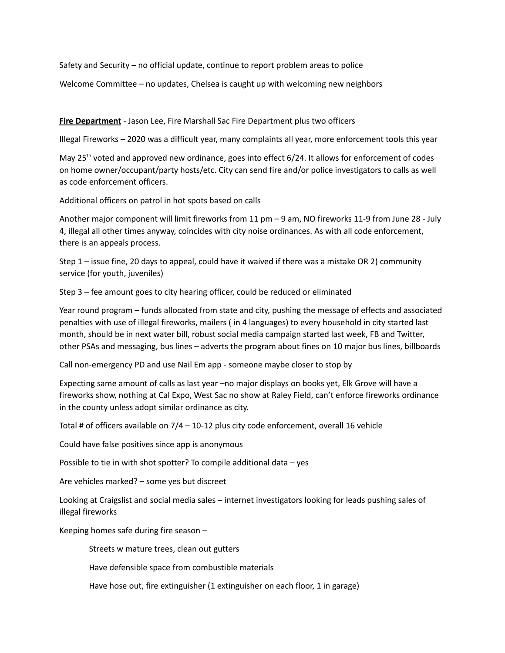Safety and Security – no official update, continue to report problem areas to police

Welcome Committee – no updates, Chelsea is caught up with welcoming new neighbors

**Fire Department** - Jason Lee, Fire Marshall Sac Fire Department plus two officers

Illegal Fireworks – 2020 was a difficult year, many complaints all year, more enforcement tools this year

May 25<sup>th</sup> voted and approved new ordinance, goes into effect 6/24. It allows for enforcement of codes on home owner/occupant/party hosts/etc. City can send fire and/or police investigators to calls as well as code enforcement officers.

Additional officers on patrol in hot spots based on calls

Another major component will limit fireworks from 11 pm – 9 am, NO fireworks 11-9 from June 28 - July 4, illegal all other times anyway, coincides with city noise ordinances. As with all code enforcement, there is an appeals process.

Step 1 – issue fine, 20 days to appeal, could have it waived if there was a mistake OR 2) community service (for youth, juveniles)

Step 3 – fee amount goes to city hearing officer, could be reduced or eliminated

Year round program – funds allocated from state and city, pushing the message of effects and associated penalties with use of illegal fireworks, mailers ( in 4 languages) to every household in city started last month, should be in next water bill, robust social media campaign started last week, FB and Twitter, other PSAs and messaging, bus lines – adverts the program about fines on 10 major bus lines, billboards

Call non-emergency PD and use Nail Em app - someone maybe closer to stop by

Expecting same amount of calls as last year –no major displays on books yet, Elk Grove will have a fireworks show, nothing at Cal Expo, West Sac no show at Raley Field, can't enforce fireworks ordinance in the county unless adopt similar ordinance as city.

Total # of officers available on 7/4 – 10-12 plus city code enforcement, overall 16 vehicle

Could have false positives since app is anonymous

Possible to tie in with shot spotter? To compile additional data – yes

Are vehicles marked? – some yes but discreet

Looking at Craigslist and social media sales – internet investigators looking for leads pushing sales of illegal fireworks

Keeping homes safe during fire season –

Streets w mature trees, clean out gutters

Have defensible space from combustible materials

Have hose out, fire extinguisher (1 extinguisher on each floor, 1 in garage)